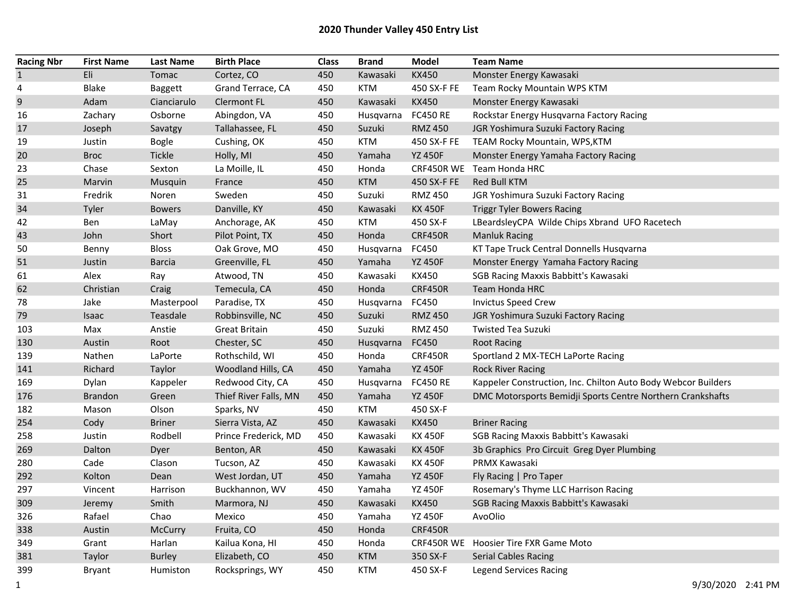| <b>Racing Nbr</b> | <b>First Name</b> | <b>Last Name</b> | <b>Birth Place</b>    | <b>Class</b> | <b>Brand</b> | Model           | <b>Team Name</b>                                              |
|-------------------|-------------------|------------------|-----------------------|--------------|--------------|-----------------|---------------------------------------------------------------|
| $\mathbf{1}$      | Eli               | Tomac            | Cortez, CO            | 450          | Kawasaki     | <b>KX450</b>    | Monster Energy Kawasaki                                       |
| 4                 | <b>Blake</b>      | Baggett          | Grand Terrace, CA     | 450          | <b>KTM</b>   | 450 SX-F FE     | Team Rocky Mountain WPS KTM                                   |
| $\mathsf 9$       | Adam              | Cianciarulo      | <b>Clermont FL</b>    | 450          | Kawasaki     | <b>KX450</b>    | Monster Energy Kawasaki                                       |
| 16                | Zachary           | Osborne          | Abingdon, VA          | 450          | Husqvarna    | <b>FC450 RE</b> | Rockstar Energy Husqvarna Factory Racing                      |
| 17                | Joseph            | Savatgy          | Tallahassee, FL       | 450          | Suzuki       | <b>RMZ 450</b>  | JGR Yoshimura Suzuki Factory Racing                           |
| 19                | Justin            | <b>Bogle</b>     | Cushing, OK           | 450          | <b>KTM</b>   | 450 SX-F FE     | TEAM Rocky Mountain, WPS, KTM                                 |
| 20                | <b>Broc</b>       | Tickle           | Holly, MI             | 450          | Yamaha       | <b>YZ 450F</b>  | Monster Energy Yamaha Factory Racing                          |
| 23                | Chase             | Sexton           | La Moille, IL         | 450          | Honda        | CRF450R WE      | Team Honda HRC                                                |
| 25                | Marvin            | Musquin          | France                | 450          | <b>KTM</b>   | 450 SX-F FE     | Red Bull KTM                                                  |
| 31                | Fredrik           | Noren            | Sweden                | 450          | Suzuki       | <b>RMZ 450</b>  | JGR Yoshimura Suzuki Factory Racing                           |
| 34                | Tyler             | <b>Bowers</b>    | Danville, KY          | 450          | Kawasaki     | <b>KX 450F</b>  | <b>Triggr Tyler Bowers Racing</b>                             |
| 42                | Ben               | LaMay            | Anchorage, AK         | 450          | <b>KTM</b>   | 450 SX-F        | LBeardsleyCPA Wilde Chips Xbrand UFO Racetech                 |
| 43                | John              | Short            | Pilot Point, TX       | 450          | Honda        | <b>CRF450R</b>  | <b>Manluk Racing</b>                                          |
| 50                | Benny             | <b>Bloss</b>     | Oak Grove, MO         | 450          | Husqvarna    | FC450           | KT Tape Truck Central Donnells Husqvarna                      |
| 51                | Justin            | <b>Barcia</b>    | Greenville, FL        | 450          | Yamaha       | <b>YZ 450F</b>  | Monster Energy Yamaha Factory Racing                          |
| 61                | Alex              | Ray              | Atwood, TN            | 450          | Kawasaki     | KX450           | SGB Racing Maxxis Babbitt's Kawasaki                          |
| 62                | Christian         | Craig            | Temecula, CA          | 450          | Honda        | <b>CRF450R</b>  | Team Honda HRC                                                |
| 78                | Jake              | Masterpool       | Paradise, TX          | 450          | Husqvarna    | FC450           | <b>Invictus Speed Crew</b>                                    |
| 79                | Isaac             | Teasdale         | Robbinsville, NC      | 450          | Suzuki       | <b>RMZ 450</b>  | JGR Yoshimura Suzuki Factory Racing                           |
| 103               | Max               | Anstie           | Great Britain         | 450          | Suzuki       | <b>RMZ 450</b>  | <b>Twisted Tea Suzuki</b>                                     |
| 130               | Austin            | Root             | Chester, SC           | 450          | Husqvarna    | FC450           | <b>Root Racing</b>                                            |
| 139               | Nathen            | LaPorte          | Rothschild, WI        | 450          | Honda        | CRF450R         | Sportland 2 MX-TECH LaPorte Racing                            |
| 141               | Richard           | Taylor           | Woodland Hills, CA    | 450          | Yamaha       | <b>YZ 450F</b>  | <b>Rock River Racing</b>                                      |
| 169               | Dylan             | Kappeler         | Redwood City, CA      | 450          | Husqvarna    | <b>FC450 RE</b> | Kappeler Construction, Inc. Chilton Auto Body Webcor Builders |
| 176               | <b>Brandon</b>    | Green            | Thief River Falls, MN | 450          | Yamaha       | <b>YZ 450F</b>  | DMC Motorsports Bemidji Sports Centre Northern Crankshafts    |
| 182               | Mason             | Olson            | Sparks, NV            | 450          | <b>KTM</b>   | 450 SX-F        |                                                               |
| 254               | Cody              | <b>Briner</b>    | Sierra Vista, AZ      | 450          | Kawasaki     | <b>KX450</b>    | <b>Briner Racing</b>                                          |
| 258               | Justin            | Rodbell          | Prince Frederick, MD  | 450          | Kawasaki     | <b>KX 450F</b>  | SGB Racing Maxxis Babbitt's Kawasaki                          |
| 269               | Dalton            | Dyer             | Benton, AR            | 450          | Kawasaki     | <b>KX 450F</b>  | 3b Graphics Pro Circuit Greg Dyer Plumbing                    |
| 280               | Cade              | Clason           | Tucson, AZ            | 450          | Kawasaki     | <b>KX 450F</b>  | PRMX Kawasaki                                                 |
| 292               | Kolton            | Dean             | West Jordan, UT       | 450          | Yamaha       | <b>YZ 450F</b>  | Fly Racing   Pro Taper                                        |
| 297               | Vincent           | Harrison         | Buckhannon, WV        | 450          | Yamaha       | <b>YZ 450F</b>  | Rosemary's Thyme LLC Harrison Racing                          |
| 309               | Jeremy            | Smith            | Marmora, NJ           | 450          | Kawasaki     | <b>KX450</b>    | SGB Racing Maxxis Babbitt's Kawasaki                          |
| 326               | Rafael            | Chao             | Mexico                | 450          | Yamaha       | <b>YZ 450F</b>  | AvoOlio                                                       |
| 338               | Austin            | <b>McCurry</b>   | Fruita, CO            | 450          | Honda        | CRF450R         |                                                               |
| 349               | Grant             | Harlan           | Kailua Kona, HI       | 450          | Honda        |                 | CRF450R WE Hoosier Tire FXR Game Moto                         |
| 381               | Taylor            | <b>Burley</b>    | Elizabeth, CO         | 450          | <b>KTM</b>   | 350 SX-F        | <b>Serial Cables Racing</b>                                   |
| 399               | <b>Bryant</b>     | Humiston         | Rocksprings, WY       | 450          | <b>KTM</b>   | 450 SX-F        | <b>Legend Services Racing</b>                                 |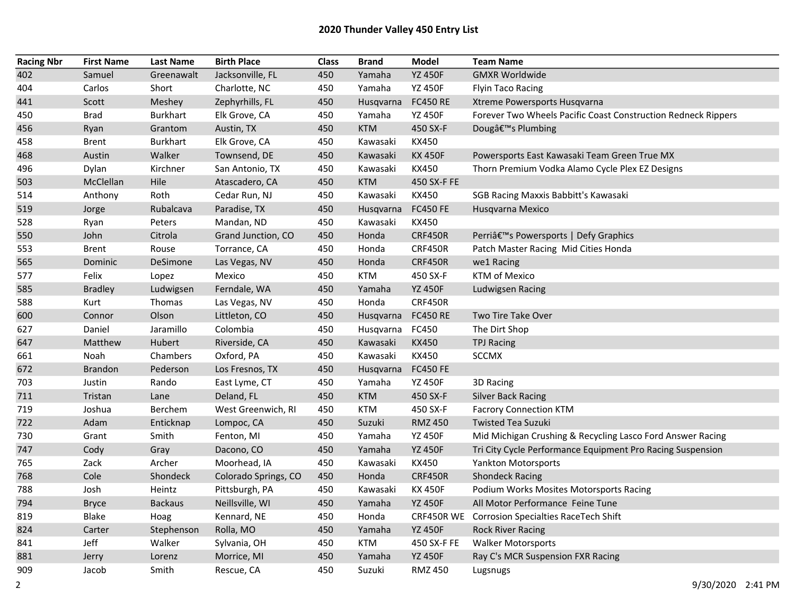## 2020 Thunder Valley 450 Entry List

| <b>Racing Nbr</b> | <b>First Name</b> | <b>Last Name</b> | <b>Birth Place</b>   | Class | Brand      | <b>Model</b>    | <b>Team Name</b>                                              |
|-------------------|-------------------|------------------|----------------------|-------|------------|-----------------|---------------------------------------------------------------|
| 402               | Samuel            | Greenawalt       | Jacksonville, FL     | 450   | Yamaha     | <b>YZ 450F</b>  | <b>GMXR Worldwide</b>                                         |
| 404               | Carlos            | Short            | Charlotte, NC        | 450   | Yamaha     | <b>YZ 450F</b>  | <b>Flyin Taco Racing</b>                                      |
| 441               | Scott             | Meshey           | Zephyrhills, FL      | 450   | Husqvarna  | <b>FC450 RE</b> | Xtreme Powersports Husqvarna                                  |
| 450               | <b>Brad</b>       | Burkhart         | Elk Grove, CA        | 450   | Yamaha     | <b>YZ 450F</b>  | Forever Two Wheels Pacific Coast Construction Redneck Rippers |
| 456               | Ryan              | Grantom          | Austin, TX           | 450   | <b>KTM</b> | 450 SX-F        | Dougâ€ <sup>™</sup> s Plumbing                                |
| 458               | <b>Brent</b>      | <b>Burkhart</b>  | Elk Grove, CA        | 450   | Kawasaki   | KX450           |                                                               |
| 468               | Austin            | Walker           | Townsend, DE         | 450   | Kawasaki   | <b>KX 450F</b>  | Powersports East Kawasaki Team Green True MX                  |
| 496               | Dylan             | Kirchner         | San Antonio, TX      | 450   | Kawasaki   | KX450           | Thorn Premium Vodka Alamo Cycle Plex EZ Designs               |
| 503               | McClellan         | Hile             | Atascadero, CA       | 450   | <b>KTM</b> | 450 SX-F FE     |                                                               |
| 514               | Anthony           | Roth             | Cedar Run, NJ        | 450   | Kawasaki   | KX450           | SGB Racing Maxxis Babbitt's Kawasaki                          |
| 519               | Jorge             | Rubalcava        | Paradise, TX         | 450   | Husqvarna  | <b>FC450 FE</b> | Husqvarna Mexico                                              |
| 528               | Ryan              | Peters           | Mandan, ND           | 450   | Kawasaki   | KX450           |                                                               |
| 550               | John              | Citrola          | Grand Junction, CO   | 450   | Honda      | <b>CRF450R</b>  | Perri's Powersports   Defy Graphics                           |
| 553               | <b>Brent</b>      | Rouse            | Torrance, CA         | 450   | Honda      | <b>CRF450R</b>  | Patch Master Racing Mid Cities Honda                          |
| 565               | Dominic           | DeSimone         | Las Vegas, NV        | 450   | Honda      | <b>CRF450R</b>  | we1 Racing                                                    |
| 577               | Felix             | Lopez            | Mexico               | 450   | <b>KTM</b> | 450 SX-F        | KTM of Mexico                                                 |
| 585               | <b>Bradley</b>    | Ludwigsen        | Ferndale, WA         | 450   | Yamaha     | <b>YZ 450F</b>  | Ludwigsen Racing                                              |
| 588               | Kurt              | Thomas           | Las Vegas, NV        | 450   | Honda      | <b>CRF450R</b>  |                                                               |
| 600               | Connor            | Olson            | Littleton, CO        | 450   | Husqvarna  | <b>FC450 RE</b> | Two Tire Take Over                                            |
| 627               | Daniel            | Jaramillo        | Colombia             | 450   | Husqvarna  | FC450           | The Dirt Shop                                                 |
| 647               | Matthew           | Hubert           | Riverside, CA        | 450   | Kawasaki   | <b>KX450</b>    | <b>TPJ Racing</b>                                             |
| 661               | Noah              | Chambers         | Oxford, PA           | 450   | Kawasaki   | KX450           | <b>SCCMX</b>                                                  |
| 672               | Brandon           | Pederson         | Los Fresnos, TX      | 450   | Husqvarna  | <b>FC450 FE</b> |                                                               |
| 703               | Justin            | Rando            | East Lyme, CT        | 450   | Yamaha     | <b>YZ 450F</b>  | 3D Racing                                                     |
| 711               | Tristan           | Lane             | Deland, FL           | 450   | <b>KTM</b> | 450 SX-F        | <b>Silver Back Racing</b>                                     |
| 719               | Joshua            | Berchem          | West Greenwich, RI   | 450   | <b>KTM</b> | 450 SX-F        | <b>Facrory Connection KTM</b>                                 |
| 722               | Adam              | Enticknap        | Lompoc, CA           | 450   | Suzuki     | <b>RMZ 450</b>  | <b>Twisted Tea Suzuki</b>                                     |
| 730               | Grant             | Smith            | Fenton, MI           | 450   | Yamaha     | <b>YZ 450F</b>  | Mid Michigan Crushing & Recycling Lasco Ford Answer Racing    |
| 747               | Cody              | Gray             | Dacono, CO           | 450   | Yamaha     | <b>YZ 450F</b>  | Tri City Cycle Performance Equipment Pro Racing Suspension    |
| 765               | Zack              | Archer           | Moorhead, IA         | 450   | Kawasaki   | KX450           | Yankton Motorsports                                           |
| 768               | Cole              | Shondeck         | Colorado Springs, CO | 450   | Honda      | <b>CRF450R</b>  | <b>Shondeck Racing</b>                                        |
| 788               | Josh              | Heintz           | Pittsburgh, PA       | 450   | Kawasaki   | <b>KX 450F</b>  | Podium Works Mosites Motorsports Racing                       |
| 794               | <b>Bryce</b>      | <b>Backaus</b>   | Neillsville, WI      | 450   | Yamaha     | <b>YZ 450F</b>  | All Motor Performance Feine Tune                              |
| 819               | <b>Blake</b>      | Hoag             | Kennard, NE          | 450   | Honda      | CRF450R WE      | Corrosion Specialties RaceTech Shift                          |
| 824               | Carter            | Stephenson       | Rolla, MO            | 450   | Yamaha     | <b>YZ 450F</b>  | <b>Rock River Racing</b>                                      |
| 841               | Jeff              | Walker           | Sylvania, OH         | 450   | <b>KTM</b> | 450 SX-F FE     | <b>Walker Motorsports</b>                                     |
| 881               | Jerry             | Lorenz           | Morrice, MI          | 450   | Yamaha     | <b>YZ 450F</b>  | Ray C's MCR Suspension FXR Racing                             |
| 909               | Jacob             | Smith            | Rescue, CA           | 450   | Suzuki     | <b>RMZ 450</b>  | Lugsnugs                                                      |